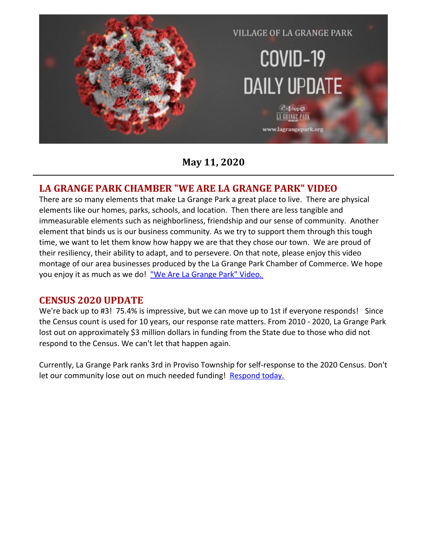

**May 11, 2020**

#### **LA GRANGE PARK CHAMBER "WE ARE LA GRANGE PARK" VIDEO**

There are so many elements that make La Grange Park a great place to live. There are physical elements like our homes, parks, schools, and location. Then there are less tangible and immeasurable elements such as neighborliness, friendship and our sense of community. Another element that binds us is our business community. As we try to support them through this tough time, we want to let them know how happy we are that they chose our town. We are proud of their resiliency, their ability to adapt, and to persevere. On that note, please enjoy this video montage of our area businesses produced by the La Grange Park Chamber of Commerce. We hope you enjoy it as much as we do! "We Are La [Grange](https://www.youtube.com/watch?v=vVqV7jy5ftw&fbclid=IwAR2nvC45-J2tKFAvuw7C4IDE1K8Yi9gdfYiL0GoQXlL1k4KOctvaVvJhRKg) Park" Video.

#### **CENSUS 2020 UPDATE**

We're back up to #3! 75.4% is impressive, but we can move up to 1st if everyone responds! Since the Census count is used for 10 years, our response rate matters. From 2010 - 2020, La Grange Park lost out on approximately \$3 million dollars in funding from the State due to those who did not respond to the Census. We can't let that happen again.

Currently, La Grange Park ranks 3rd in Proviso Township for self-response to the 2020 Census. Don't let our community lose out on much needed funding! [Respond](https://2020census.gov/?cid=20002:%2Bcensus:sem.ga:p:dm:en:&utm_source=sem.ga&utm_medium=p&utm_campaign=dm:en&utm_content=20002&utm_term=%2Bcensus) today.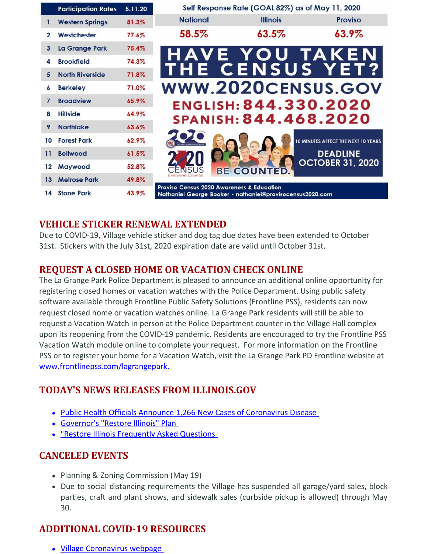|              | <b>Participation Rates</b> | 5.11.20 | Self Response Rate (GOAL 82%) as of May 11, 2020                                                                  |                    |                                     |
|--------------|----------------------------|---------|-------------------------------------------------------------------------------------------------------------------|--------------------|-------------------------------------|
| 1            | <b>Western Springs</b>     | 81.3%   | <b>National</b>                                                                                                   | <b>Illinois</b>    | <b>Proviso</b>                      |
| $\mathbf{z}$ | Westchester                | 77.6%   | 58.5%                                                                                                             | 63.5%              | 63.9%                               |
| 3            | La Grange Park             | 75.4%   |                                                                                                                   |                    | HAVE YOU TAKEN                      |
| 4            | <b>Brookfield</b>          | 74.3%   |                                                                                                                   |                    |                                     |
| 5            | <b>North Riverside</b>     | 71.8%   |                                                                                                                   |                    | THE CENSUS YET?                     |
| 6            | <b>Berkeley</b>            | 71.0%   |                                                                                                                   |                    | WWW.2020CENSUS.GOV                  |
| 7            | <b>Broadview</b>           | 65.9%   |                                                                                                                   |                    | ENGLISH: 844.330.2020               |
| 8            | <b>Hillside</b>            | 64.9%   |                                                                                                                   |                    | SPANISH: 844.468.2020               |
| 9            | <b>Northlake</b>           | 63.6%   |                                                                                                                   |                    |                                     |
| 10           | <b>Forest Park</b>         | 62.9%   |                                                                                                                   |                    | 10 MINUTES AFFECT THE NEXT 10 YEARS |
| 11           | <b>Bellwood</b>            | 61.5%   |                                                                                                                   |                    | <b>DEADLINE</b>                     |
| $12 \,$      | <b>Maywood</b>             | 52.8%   |                                                                                                                   | <b>BE COUNTED.</b> | <b>OCTOBER 31, 2020</b>             |
| 13           | <b>Melrose Park</b>        | 49.8%   | Everyone Counts                                                                                                   |                    |                                     |
| 14           | <b>Stone Park</b>          | 43.9%   | <b>Proviso Census 2020 Awareness &amp; Education</b><br>Nathaniel George Booker - nathaniel@provisocensus2020.com |                    |                                     |

## **VEHICLE STICKER RENEWAL EXTENDED**

Due to COVID-19, Village vehicle sticker and dog tag due dates have been extended to October 31st. Stickers with the July 31st, 2020 expiration date are valid until October 31st.

## **REQUEST A CLOSED HOME OR VACATION CHECK ONLINE**

The La Grange Park Police Department is pleased to announce an additional online opportunity for registering closed homes or vacation watches with the Police Department. Using public safety software available through Frontline Public Safety Solutions (Frontline PSS), residents can now request closed home or vacation watches online. La Grange Park residents will still be able to request a Vacation Watch in person at the Police Department counter in the Village Hall complex upon its reopening from the COVID-19 pandemic. Residents are encouraged to try the Frontline PSS Vacation Watch module online to complete your request. For more information on the Frontline PSS or to register your home for a Vacation Watch, visit the La Grange Park PD Frontline website at [www.frontlinepss.com/lagrangepark.](https://www.frontlinepss.com/lagrangepark)

## **TODAY'S NEWS RELEASES FROM ILLINOIS.GOV**

- Public Health Officials Announce 1,266 New Cases of [Coronavirus](https://www2.illinois.gov/Pages/news-item.aspx?ReleaseID=21528) Disease
- [Governor's](https://coronavirus.illinois.gov/sfc/servlet.shepherd/document/download/069t000000BadS0AAJ?operationContext=S1) "Restore Illinois" Plan
- . "Restore Illinois [Frequently](https://coronavirus.illinois.gov/s/restore-illinois-faqs) Asked Questions

#### **CANCELED EVENTS**

- Planning & Zoning Commission (May 19)
- Due to social distancing requirements the Village has suspended all garage/yard sales, block parties, craft and plant shows, and sidewalk sales (curbside pickup is allowed) through May 30.

# **ADDITIONAL COVID-19 RESOURCES**

Village [Coronavirus](http://www.lagrangepark.org/505/Coronavirus-COVID-19) webpage